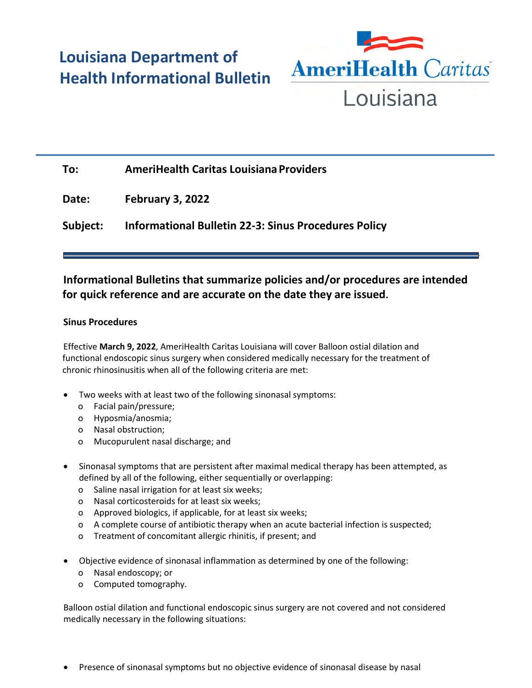# **Louisiana Department of Health Informational Bulletin**



## **To: AmeriHealth Caritas Louisiana Providers**

**Date: February 3, 2022**

**Subject: Informational Bulletin 22-3: Sinus Procedures Policy**

### **Informational Bulletins that summarize policies and/or procedures are intended for quick reference and are accurate on the date they are issued.**

#### **Sinus Procedures**

Effective **March 9, 2022**, AmeriHealth Caritas Louisiana will cover Balloon ostial dilation and functional endoscopic sinus surgery when considered medically necessary for the treatment of chronic rhinosinusitis when all of the following criteria are met:

- Two weeks with at least two of the following sinonasal symptoms:
	- o Facial pain/pressure;
	- o Hyposmia/anosmia;
	- o Nasal obstruction;
	- o Mucopurulent nasal discharge; and
- Sinonasal symptoms that are persistent after maximal medical therapy has been attempted, as defined by all of the following, either sequentially or overlapping:
	- o Saline nasal irrigation for at least six weeks;
	- o Nasal corticosteroids for at least six weeks;
	- o Approved biologics, if applicable, for at least six weeks;
	- o A complete course of antibiotic therapy when an acute bacterial infection is suspected;
	- o Treatment of concomitant allergic rhinitis, if present; and
- Objective evidence of sinonasal inflammation as determined by one of the following:
	- o Nasal endoscopy; or
	- o Computed tomography.

Balloon ostial dilation and functional endoscopic sinus surgery are not covered and not considered medically necessary in the following situations:

• Presence of sinonasal symptoms but no objective evidence of sinonasal disease by nasal